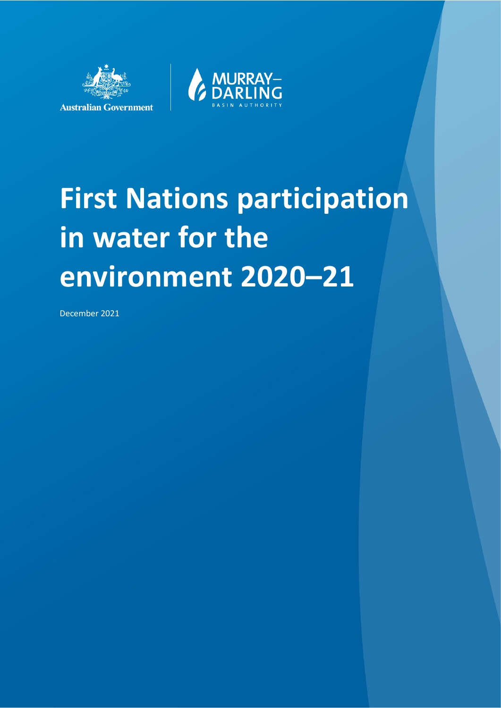



# **First Nations participation in water for the environment 2020–21**

December 2021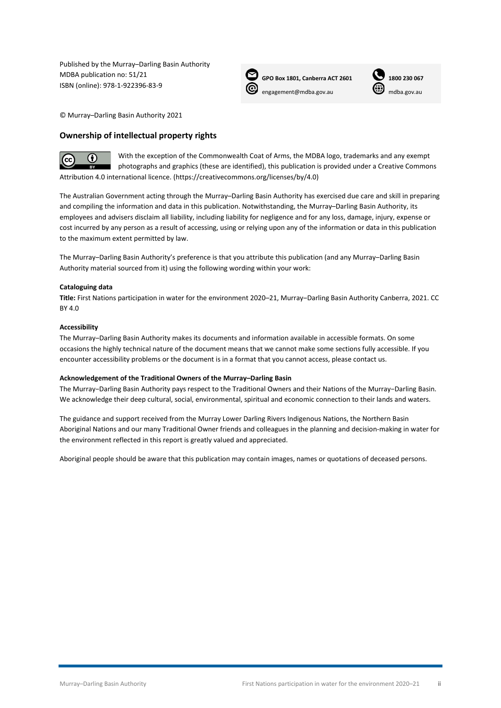Published by the Murray–Darling Basin Authority MDBA publication no: 51/21 ISBN (online): 978-1-922396-83-9



 **GPO Box 1801, Canberra ACT 2601 1800 230 067** [engagement@mdba.gov.au](mailto:engagement@mdba.gov.au) **w** [mdba.gov.au](http://www.mdba.gov.au/)



© Murray–Darling Basin Authority 2021

#### **Ownership of intellectual property rights**



With the exception of the Commonwealth Coat of Arms, the MDBA logo, trademarks and any exempt photographs and graphics (these are identified), this publication is provided under a Creative Commons Attribution 4.0 international licence. [\(https://creativecommons.org/licenses/by/4.0\)](https://creativecommons.org/licenses/by/4.0)

The Australian Government acting through the Murray–Darling Basin Authority has exercised due care and skill in preparing and compiling the information and data in this publication. Notwithstanding, the Murray–Darling Basin Authority, its employees and advisers disclaim all liability, including liability for negligence and for any loss, damage, injury, expense or cost incurred by any person as a result of accessing, using or relying upon any of the information or data in this publication to the maximum extent permitted by law.

The Murray–Darling Basin Authority's preference is that you attribute this publication (and any Murray–Darling Basin Authority material sourced from it) using the following wording within your work:

#### **Cataloguing data**

Title: First Nations participation in water for the environment 2020–21, Murray–Darling Basin Authority Canberra, 2021. CC BY 4.0

#### **Accessibility**

The Murray‒Darling Basin Authority makes its documents and information available in accessible formats. On some occasions the highly technical nature of the document means that we cannot make some sections fully accessible. If you encounter accessibility problems or the document is in a format that you cannot access, please contact us.

#### **Acknowledgement of the Traditional Owners of the Murray–Darling Basin**

The Murray−Darling Basin Authority pays respect to the Traditional Owners and their Nations of the Murray−Darling Basin. We acknowledge their deep cultural, social, environmental, spiritual and economic connection to their lands and waters.

The guidance and support received from the Murray Lower Darling Rivers Indigenous Nations, the Northern Basin Aboriginal Nations and our many Traditional Owner friends and colleagues in the planning and decision-making in water for the environment reflected in this report is greatly valued and appreciated.

Aboriginal people should be aware that this publication may contain images, names or quotations of deceased persons.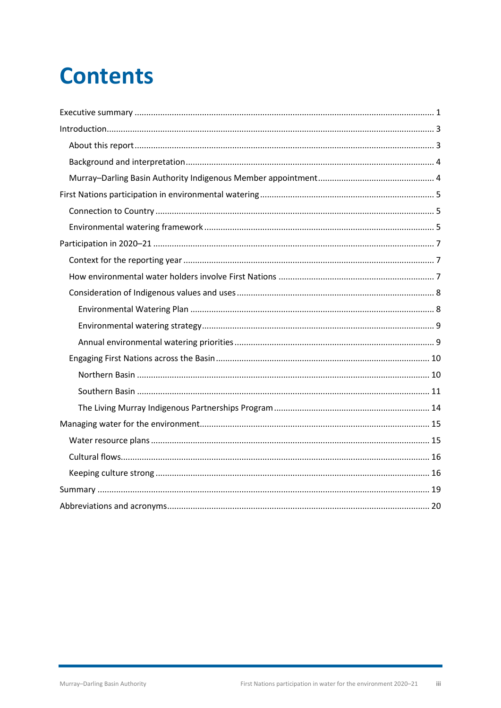## **Contents**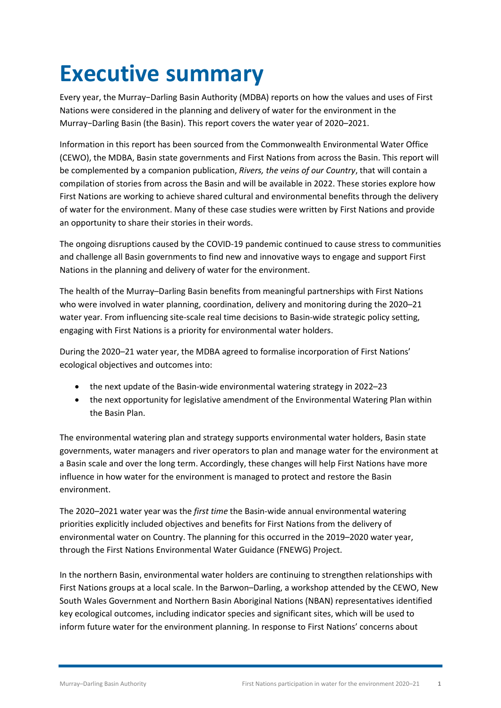## <span id="page-3-0"></span>**Executive summary**

Every year, the Murray−Darling Basin Authority (MDBA) reports on how the values and uses of First Nations were considered in the planning and delivery of water for the environment in the Murray−Darling Basin (the Basin). This report covers the water year of 2020–2021.

Information in this report has been sourced from the Commonwealth Environmental Water Office (CEWO), the MDBA, Basin state governments and First Nations from across the Basin. This report will be complemented by a companion publication, *Rivers, the veins of our Country*, that will contain a compilation of stories from across the Basin and will be available in 2022. These stories explore how First Nations are working to achieve shared cultural and environmental benefits through the delivery of water for the environment. Many of these case studies were written by First Nations and provide an opportunity to share their stories in their words.

The ongoing disruptions caused by the COVID-19 pandemic continued to cause stress to communities and challenge all Basin governments to find new and innovative ways to engage and support First Nations in the planning and delivery of water for the environment.

The health of the Murray–Darling Basin benefits from meaningful partnerships with First Nations who were involved in water planning, coordination, delivery and monitoring during the 2020–21 water year. From influencing site-scale real time decisions to Basin-wide strategic policy setting, engaging with First Nations is a priority for environmental water holders.

During the 2020–21 water year, the MDBA agreed to formalise incorporation of First Nations' ecological objectives and outcomes into:

- the next update of the Basin-wide environmental watering strategy in 2022–23
- the next opportunity for legislative amendment of the Environmental Watering Plan within the Basin Plan.

The environmental watering plan and strategy supports environmental water holders, Basin state governments, water managers and river operators to plan and manage water for the environment at a Basin scale and over the long term. Accordingly, these changes will help First Nations have more influence in how water for the environment is managed to protect and restore the Basin environment.

The 2020–2021 water year was the *first time* the Basin-wide annual environmental watering priorities explicitly included objectives and benefits for First Nations from the delivery of environmental water on Country. The planning for this occurred in the 2019–2020 water year, through the First Nations Environmental Water Guidance (FNEWG) Project.

In the northern Basin, environmental water holders are continuing to strengthen relationships with First Nations groups at a local scale. In the Barwon–Darling, a workshop attended by the CEWO, New South Wales Government and Northern Basin Aboriginal Nations (NBAN) representatives identified key ecological outcomes, including indicator species and significant sites, which will be used to inform future water for the environment planning. In response to First Nations' concerns about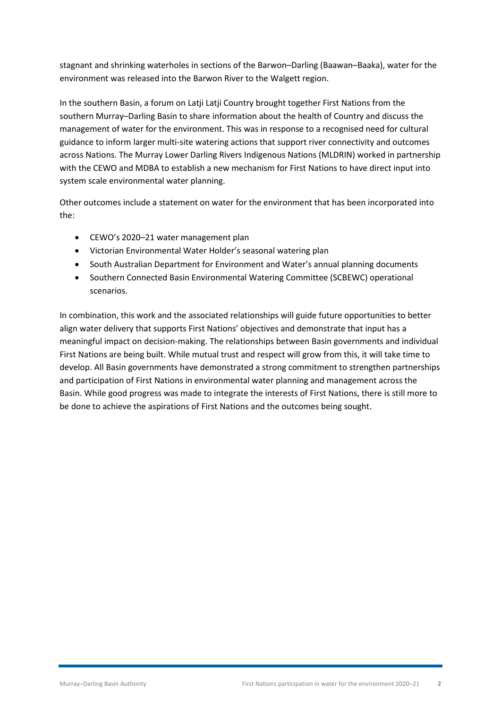stagnant and shrinking waterholes in sections of the Barwon–Darling (Baawan–Baaka), water for the environment was released into the Barwon River to the Walgett region.

In the southern Basin, a forum on Latji Latji Country brought together First Nations from the southern Murray–Darling Basin to share information about the health of Country and discuss the management of water for the environment. This was in response to a recognised need for cultural guidance to inform larger multi-site watering actions that support river connectivity and outcomes across Nations. The Murray Lower Darling Rivers Indigenous Nations (MLDRIN) worked in partnership with the CEWO and MDBA to establish a new mechanism for First Nations to have direct input into system scale environmental water planning.

Other outcomes include a statement on water for the environment that has been incorporated into the:

- CEWO's 2020–21 water management plan
- Victorian Environmental Water Holder's seasonal watering plan
- South Australian Department for Environment and Water's annual planning documents
- Southern Connected Basin Environmental Watering Committee (SCBEWC) operational scenarios.

In combination, this work and the associated relationships will guide future opportunities to better align water delivery that supports First Nations' objectives and demonstrate that input has a meaningful impact on decision-making. The relationships between Basin governments and individual First Nations are being built. While mutual trust and respect will grow from this, it will take time to develop. All Basin governments have demonstrated a strong commitment to strengthen partnerships and participation of First Nations in environmental water planning and management across the Basin. While good progress was made to integrate the interests of First Nations, there is still more to be done to achieve the aspirations of First Nations and the outcomes being sought.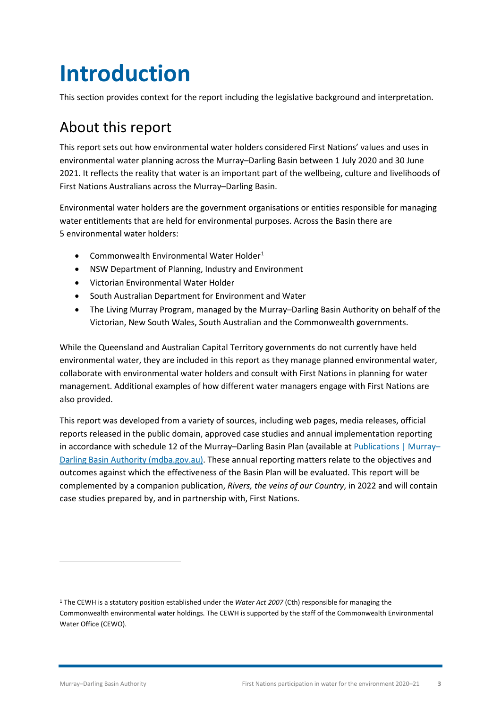## <span id="page-5-0"></span>**Introduction**

This section provides context for the report including the legislative background and interpretation.

### <span id="page-5-1"></span>About this report

This report sets out how environmental water holders considered First Nations' values and uses in environmental water planning across the Murray–Darling Basin between 1 July 2020 and 30 June 2021. It reflects the reality that water is an important part of the wellbeing, culture and livelihoods of First Nations Australians across the Murray–Darling Basin.

Environmental water holders are the government organisations or entities responsible for managing water entitlements that are held for environmental purposes. Across the Basin there are 5 environmental water holders:

- Commonwealth Environmental Water Holder[1](#page-5-2)
- NSW Department of Planning, Industry and Environment
- Victorian Environmental Water Holder
- South Australian Department for Environment and Water
- The Living Murray Program, managed by the Murray–Darling Basin Authority on behalf of the Victorian, New South Wales, South Australian and the Commonwealth governments.

While the Queensland and Australian Capital Territory governments do not currently have held environmental water, they are included in this report as they manage planned environmental water, collaborate with environmental water holders and consult with First Nations in planning for water management. Additional examples of how different water managers engage with First Nations are also provided.

This report was developed from a variety of sources, including web pages, media releases, official reports released in the public domain, approved case studies and annual implementation reporting in accordance with schedule 12 of the Murray–Darling Basin Plan (available at [Publications | Murray–](https://www.mdba.gov.au/publications) [Darling Basin Authority \(mdba.gov.au\).](https://www.mdba.gov.au/publications) These annual reporting matters relate to the objectives and outcomes against which the effectiveness of the Basin Plan will be evaluated. This report will be complemented by a companion publication, *Rivers, the veins of our Country*, in 2022 and will contain case studies prepared by, and in partnership with, First Nations.

<span id="page-5-2"></span><sup>1</sup> The CEWH is a statutory position established under the *Water Act 2007* (Cth) responsible for managing the Commonwealth environmental water holdings. The CEWH is supported by the staff of the Commonwealth Environmental Water Office (CEWO).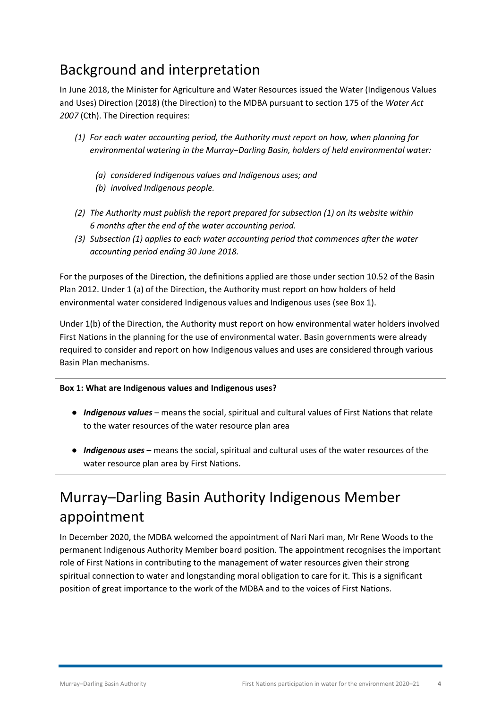#### <span id="page-6-0"></span>Background and interpretation

In June 2018, the Minister for Agriculture and Water Resources issued the Water (Indigenous Values and Uses) Direction (2018) (the Direction) to the MDBA pursuant to section 175 of the *Water Act 2007* (Cth). The Direction requires:

- *(1) For each water accounting period, the Authority must report on how, when planning for environmental watering in the Murray−Darling Basin, holders of held environmental water:*
	- *(a) considered Indigenous values and Indigenous uses; and*
	- *(b) involved Indigenous people.*
- *(2) The Authority must publish the report prepared for subsection (1) on its website within 6 months after the end of the water accounting period.*
- *(3) Subsection (1) applies to each water accounting period that commences after the water accounting period ending 30 June 2018.*

For the purposes of the Direction, the definitions applied are those under section 10.52 of the Basin Plan 2012. Under 1 (a) of the Direction, the Authority must report on how holders of held environmental water considered Indigenous values and Indigenous uses (se[e Box 1\)](#page-6-2).

Under 1(b) of the Direction, the Authority must report on how environmental water holders involved First Nations in the planning for the use of environmental water. Basin governments were already required to consider and report on how Indigenous values and uses are considered through various Basin Plan mechanisms.

#### <span id="page-6-2"></span>**Box 1: What are Indigenous values and Indigenous uses?**

- **●** *Indigenous values* means the social, spiritual and cultural values of First Nations that relate to the water resources of the water resource plan area
- **●** *Indigenous uses* means the social, spiritual and cultural uses of the water resources of the water resource plan area by First Nations.

### <span id="page-6-1"></span>Murray–Darling Basin Authority Indigenous Member appointment

In December 2020, the MDBA welcomed the appointment of Nari Nari man, Mr Rene Woods to the permanent Indigenous Authority Member board position. The appointment recognises the important role of First Nations in contributing to the management of water resources given their strong spiritual connection to water and longstanding moral obligation to care for it. This is a significant position of great importance to the work of the MDBA and to the voices of First Nations.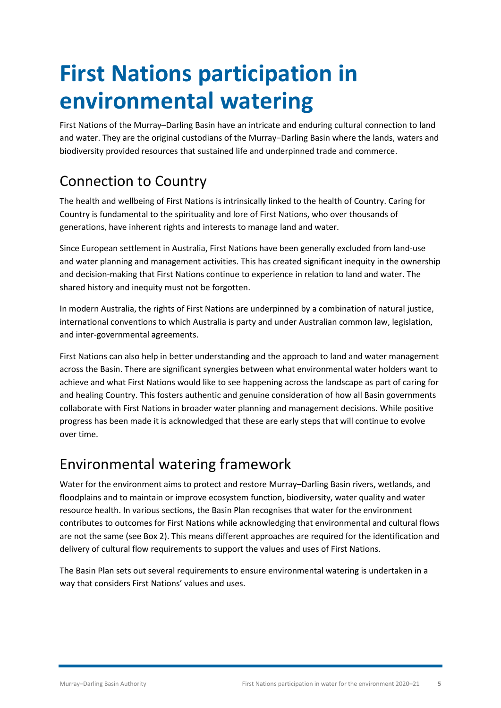## <span id="page-7-0"></span>**First Nations participation in environmental watering**

First Nations of the Murray–Darling Basin have an intricate and enduring cultural connection to land and water. They are the original custodians of the Murray−Darling Basin where the lands, waters and biodiversity provided resources that sustained life and underpinned trade and commerce.

### <span id="page-7-1"></span>Connection to Country

The health and wellbeing of First Nations is intrinsically linked to the health of Country. Caring for Country is fundamental to the spirituality and lore of First Nations, who over thousands of generations, have inherent rights and interests to manage land and water.

Since European settlement in Australia, First Nations have been generally excluded from land-use and water planning and management activities. This has created significant inequity in the ownership and decision-making that First Nations continue to experience in relation to land and water. The shared history and inequity must not be forgotten.

In modern Australia, the rights of First Nations are underpinned by a combination of natural justice, international conventions to which Australia is party and under Australian common law, legislation, and inter-governmental agreements.

First Nations can also help in better understanding and the approach to land and water management across the Basin. There are significant synergies between what environmental water holders want to achieve and what First Nations would like to see happening across the landscape as part of caring for and healing Country. This fosters authentic and genuine consideration of how all Basin governments collaborate with First Nations in broader water planning and management decisions. While positive progress has been made it is acknowledged that these are early steps that will continue to evolve over time.

#### <span id="page-7-2"></span>Environmental watering framework

Water for the environment aims to protect and restore Murray–Darling Basin rivers, wetlands, and floodplains and to maintain or improve ecosystem function, biodiversity, water quality and water resource health. In various sections, the Basin Plan recognises that water for the environment contributes to outcomes for First Nations while acknowledging that environmental and cultural flows are not the same (se[e Box 2\)](#page-8-0). This means different approaches are required for the identification and delivery of cultural flow requirements to support the values and uses of First Nations.

The Basin Plan sets out several requirements to ensure environmental watering is undertaken in a way that considers First Nations' values and uses.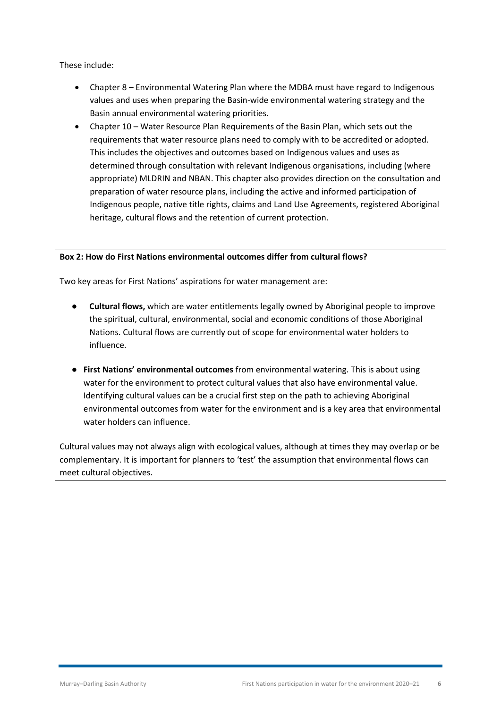These include:

- Chapter 8 Environmental Watering Plan where the MDBA must have regard to Indigenous values and uses when preparing the Basin-wide environmental watering strategy and the Basin annual environmental watering priorities.
- Chapter 10 Water Resource Plan Requirements of the Basin Plan, which sets out the requirements that water resource plans need to comply with to be accredited or adopted. This includes the objectives and outcomes based on Indigenous values and uses as determined through consultation with relevant Indigenous organisations, including (where appropriate) MLDRIN and NBAN. This chapter also provides direction on the consultation and preparation of water resource plans, including the active and informed participation of Indigenous people, native title rights, claims and Land Use Agreements, registered Aboriginal heritage, cultural flows and the retention of current protection.

#### <span id="page-8-0"></span>**Box 2: How do First Nations environmental outcomes differ from cultural flows?**

Two key areas for First Nations' aspirations for water management are:

- **● Cultural flows,** which are water entitlements legally owned by Aboriginal people to improve the spiritual, cultural, environmental, social and economic conditions of those Aboriginal Nations. Cultural flows are currently out of scope for environmental water holders to influence.
- **● First Nations' environmental outcomes** from environmental watering. This is about using water for the environment to protect cultural values that also have environmental value. Identifying cultural values can be a crucial first step on the path to achieving Aboriginal environmental outcomes from water for the environment and is a key area that environmental water holders can influence.

Cultural values may not always align with ecological values, although at times they may overlap or be complementary. It is important for planners to 'test' the assumption that environmental flows can meet cultural objectives.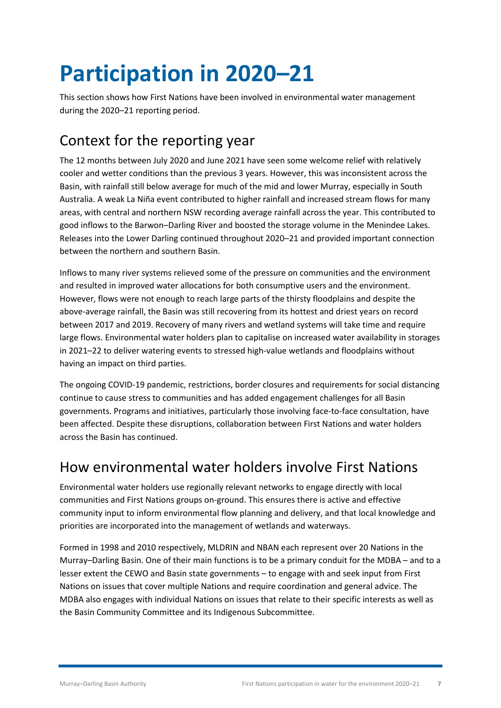## <span id="page-9-0"></span>**Participation in 2020–21**

This section shows how First Nations have been involved in environmental water management during the 2020–21 reporting period.

### <span id="page-9-1"></span>Context for the reporting year

The 12 months between July 2020 and June 2021 have seen some welcome relief with relatively cooler and wetter conditions than the previous 3 years. However, this was inconsistent across the Basin, with rainfall still below average for much of the mid and lower Murray, especially in South Australia. A weak La Niña event contributed to higher rainfall and increased stream flows for many areas, with central and northern NSW recording average rainfall across the year. This contributed to good inflows to the Barwon–Darling River and boosted the storage volume in the Menindee Lakes. Releases into the Lower Darling continued throughout 2020–21 and provided important connection between the northern and southern Basin.

Inflows to many river systems relieved some of the pressure on communities and the environment and resulted in improved water allocations for both consumptive users and the environment. However, flows were not enough to reach large parts of the thirsty floodplains and despite the above-average rainfall, the Basin was still recovering from its hottest and driest years on record between 2017 and 2019. Recovery of many rivers and wetland systems will take time and require large flows. Environmental water holders plan to capitalise on increased water availability in storages in 2021–22 to deliver watering events to stressed high-value wetlands and floodplains without having an impact on third parties.

The ongoing COVID-19 pandemic, restrictions, border closures and requirements for social distancing continue to cause stress to communities and has added engagement challenges for all Basin governments. Programs and initiatives, particularly those involving face-to-face consultation, have been affected. Despite these disruptions, collaboration between First Nations and water holders across the Basin has continued.

#### <span id="page-9-2"></span>How environmental water holders involve First Nations

Environmental water holders use regionally relevant networks to engage directly with local communities and First Nations groups on-ground. This ensures there is active and effective community input to inform environmental flow planning and delivery, and that local knowledge and priorities are incorporated into the management of wetlands and waterways.

Formed in 1998 and 2010 respectively, MLDRIN and NBAN each represent over 20 Nations in the Murray–Darling Basin. One of their main functions is to be a primary conduit for the MDBA – and to a lesser extent the CEWO and Basin state governments – to engage with and seek input from First Nations on issues that cover multiple Nations and require coordination and general advice. The MDBA also engages with individual Nations on issues that relate to their specific interests as well as the Basin Community Committee and its Indigenous Subcommittee.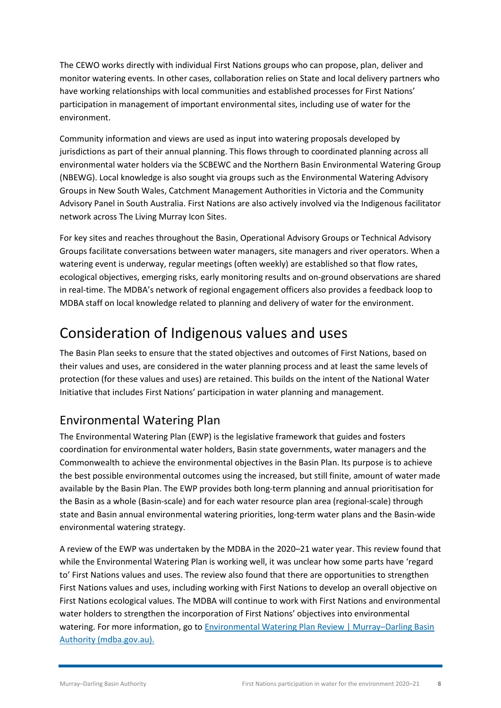The CEWO works directly with individual First Nations groups who can propose, plan, deliver and monitor watering events. In other cases, collaboration relies on State and local delivery partners who have working relationships with local communities and established processes for First Nations' participation in management of important environmental sites, including use of water for the environment.

Community information and views are used as input into watering proposals developed by jurisdictions as part of their annual planning. This flows through to coordinated planning across all environmental water holders via the SCBEWC and the Northern Basin Environmental Watering Group (NBEWG). Local knowledge is also sought via groups such as the Environmental Watering Advisory Groups in New South Wales, Catchment Management Authorities in Victoria and the Community Advisory Panel in South Australia. First Nations are also actively involved via the Indigenous facilitator network across The Living Murray Icon Sites.

For key sites and reaches throughout the Basin, Operational Advisory Groups or Technical Advisory Groups facilitate conversations between water managers, site managers and river operators. When a watering event is underway, regular meetings (often weekly) are established so that flow rates, ecological objectives, emerging risks, early monitoring results and on-ground observations are shared in real-time. The MDBA's network of regional engagement officers also provides a feedback loop to MDBA staff on local knowledge related to planning and delivery of water for the environment.

### <span id="page-10-0"></span>Consideration of Indigenous values and uses

The Basin Plan seeks to ensure that the stated objectives and outcomes of First Nations, based on their values and uses, are considered in the water planning process and at least the same levels of protection (for these values and uses) are retained. This builds on the intent of the National Water Initiative that includes First Nations' participation in water planning and management.

#### <span id="page-10-1"></span>Environmental Watering Plan

The Environmental Watering Plan (EWP) is the legislative framework that guides and fosters coordination for environmental water holders, Basin state governments, water managers and the Commonwealth to achieve the environmental objectives in the Basin Plan. Its purpose is to achieve the best possible environmental outcomes using the increased, but still finite, amount of water made available by the Basin Plan. The EWP provides both long-term planning and annual prioritisation for the Basin as a whole (Basin-scale) and for each water resource plan area (regional-scale) through state and Basin annual environmental watering priorities, long-term water plans and the Basin-wide environmental watering strategy.

A review of the EWP was undertaken by the MDBA in the 2020–21 water year. This review found that while the Environmental Watering Plan is working well, it was unclear how some parts have 'regard to' First Nations values and uses. The review also found that there are opportunities to strengthen First Nations values and uses, including working with First Nations to develop an overall objective on First Nations ecological values. The MDBA will continue to work with First Nations and environmental water holders to strengthen the incorporation of First Nations' objectives into environmental watering. For more information, go to Environmental Watering Plan Review | Murray-Darling Basin [Authority \(mdba.gov.au\).](https://www.mdba.gov.au/publications/mdba-reports/environmental-watering-plan-review)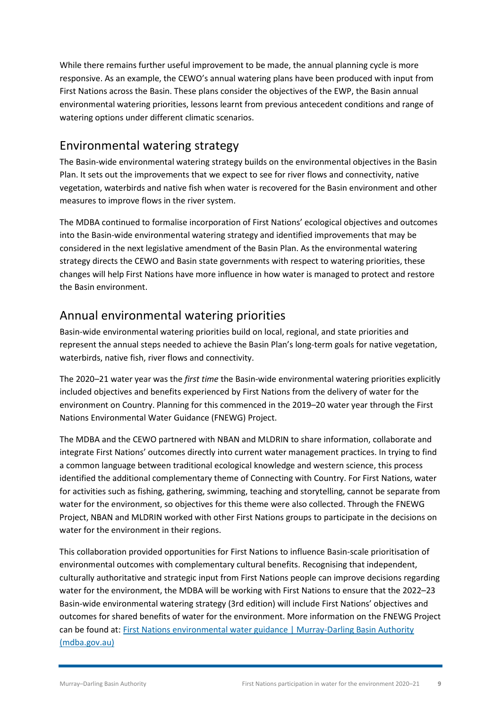While there remains further useful improvement to be made, the annual planning cycle is more responsive. As an example, the CEWO's annual watering plans have been produced with input from First Nations across the Basin. These plans consider the objectives of the EWP, the Basin annual environmental watering priorities, lessons learnt from previous antecedent conditions and range of watering options under different climatic scenarios.

#### <span id="page-11-0"></span>Environmental watering strategy

The Basin-wide environmental watering strategy builds on the environmental objectives in the Basin Plan. It sets out the improvements that we expect to see for river flows and connectivity, native vegetation, waterbirds and native fish when water is recovered for the Basin environment and other measures to improve flows in the river system.

The MDBA continued to formalise incorporation of First Nations' ecological objectives and outcomes into the Basin-wide environmental watering strategy and identified improvements that may be considered in the next legislative amendment of the Basin Plan. As the environmental watering strategy directs the CEWO and Basin state governments with respect to watering priorities, these changes will help First Nations have more influence in how water is managed to protect and restore the Basin environment.

#### <span id="page-11-1"></span>Annual environmental watering priorities

Basin-wide environmental watering priorities build on local, regional, and state priorities and represent the annual steps needed to achieve the Basin Plan's long-term goals for native vegetation, waterbirds, native fish, river flows and connectivity.

The 2020–21 water year was the *first time* the Basin-wide environmental watering priorities explicitly included objectives and benefits experienced by First Nations from the delivery of water for the environment on Country. Planning for this commenced in the 2019–20 water year through the First Nations Environmental Water Guidance (FNEWG) Project.

The MDBA and the CEWO partnered with NBAN and MLDRIN to share information, collaborate and integrate First Nations' outcomes directly into current water management practices. In trying to find a common language between traditional ecological knowledge and western science, this process identified the additional complementary theme of Connecting with Country. For First Nations, water for activities such as fishing, gathering, swimming, teaching and storytelling, cannot be separate from water for the environment, so objectives for this theme were also collected. Through the FNEWG Project, NBAN and MLDRIN worked with other First Nations groups to participate in the decisions on water for the environment in their regions.

This collaboration provided opportunities for First Nations to influence Basin-scale prioritisation of environmental outcomes with complementary cultural benefits. Recognising that independent, culturally authoritative and strategic input from First Nations people can improve decisions regarding water for the environment, the MDBA will be working with First Nations to ensure that the 2022–23 Basin-wide environmental watering strategy (3rd edition) will include First Nations' objectives and outcomes for shared benefits of water for the environment. More information on the FNEWG Project can be found at: [First Nations environmental water guidance | Murray-Darling Basin Authority](https://www.mdba.gov.au/about-basin/water-first-nations/first-nations-environmental-water-guidance)  [\(mdba.gov.au\)](https://www.mdba.gov.au/about-basin/water-first-nations/first-nations-environmental-water-guidance)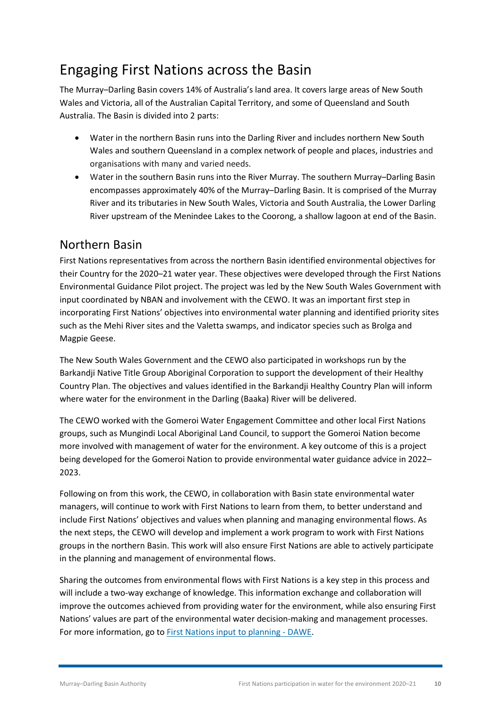### <span id="page-12-0"></span>Engaging First Nations across the Basin

The Murray–Darling Basin covers 14% of Australia's land area. It covers large areas of New South Wales and Victoria, all of the Australian Capital Territory, and some of Queensland and South Australia. The Basin is divided into 2 parts:

- Water in the northern Basin runs into the Darling River and includes northern New South Wales and southern Queensland in a complex network of people and places, industries and organisations with many and varied needs.
- Water in the southern Basin runs into the River Murray. The southern Murray–Darling Basin encompasses approximately 40% of the Murray–Darling Basin. It is comprised of the Murray River and its tributaries in New South Wales, Victoria and South Australia, the Lower Darling River upstream of the Menindee Lakes to the Coorong, a shallow lagoon at end of the Basin.

#### <span id="page-12-1"></span>Northern Basin

First Nations representatives from across the northern Basin identified environmental objectives for their Country for the 2020–21 water year. These objectives were developed through the First Nations Environmental Guidance Pilot project. The project was led by the New South Wales Government with input coordinated by NBAN and involvement with the CEWO. It was an important first step in incorporating First Nations' objectives into environmental water planning and identified priority sites such as the Mehi River sites and the Valetta swamps, and indicator species such as Brolga and Magpie Geese.

The New South Wales Government and the CEWO also participated in workshops run by the Barkandji Native Title Group Aboriginal Corporation to support the development of their Healthy Country Plan. The objectives and values identified in the Barkandji Healthy Country Plan will inform where water for the environment in the Darling (Baaka) River will be delivered.

The CEWO worked with the Gomeroi Water Engagement Committee and other local First Nations groups, such as Mungindi Local Aboriginal Land Council, to support the Gomeroi Nation become more involved with management of water for the environment. A key outcome of this is a project being developed for the Gomeroi Nation to provide environmental water guidance advice in 2022– 2023.

Following on from this work, the CEWO, in collaboration with Basin state environmental water managers, will continue to work with First Nations to learn from them, to better understand and include First Nations' objectives and values when planning and managing environmental flows. As the next steps, the CEWO will develop and implement a work program to work with First Nations groups in the northern Basin. This work will also ensure First Nations are able to actively participate in the planning and management of environmental flows.

Sharing the outcomes from environmental flows with First Nations is a key step in this process and will include a two-way exchange of knowledge. This information exchange and collaboration will improve the outcomes achieved from providing water for the environment, while also ensuring First Nations' values are part of the environmental water decision-making and management processes. For more information, go to [First Nations input to planning - DAWE.](https://www.awe.gov.au/water/cewo/working-with-first-nations/first-nations-input-to-planning)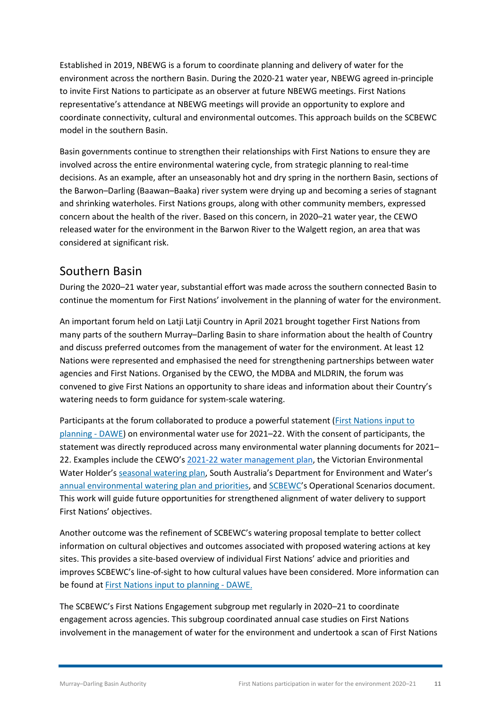Established in 2019, NBEWG is a forum to coordinate planning and delivery of water for the environment across the northern Basin. During the 2020-21 water year, NBEWG agreed in-principle to invite First Nations to participate as an observer at future NBEWG meetings. First Nations representative's attendance at NBEWG meetings will provide an opportunity to explore and coordinate connectivity, cultural and environmental outcomes. This approach builds on the SCBEWC model in the southern Basin.

Basin governments continue to strengthen their relationships with First Nations to ensure they are involved across the entire environmental watering cycle, from strategic planning to real-time decisions. As an example, after an unseasonably hot and dry spring in the northern Basin, sections of the Barwon–Darling (Baawan–Baaka) river system were drying up and becoming a series of stagnant and shrinking waterholes. First Nations groups, along with other community members, expressed concern about the health of the river. Based on this concern, in 2020–21 water year, the CEWO released water for the environment in the Barwon River to the Walgett region, an area that was considered at significant risk.

#### <span id="page-13-0"></span>Southern Basin

During the 2020–21 water year, substantial effort was made across the southern connected Basin to continue the momentum for First Nations' involvement in the planning of water for the environment.

An important forum held on Latji Latji Country in April 2021 brought together First Nations from many parts of the southern Murray–Darling Basin to share information about the health of Country and discuss preferred outcomes from the management of water for the environment. At least 12 Nations were represented and emphasised the need for strengthening partnerships between water agencies and First Nations. Organised by the CEWO, the MDBA and MLDRIN, the forum was convened to give First Nations an opportunity to share ideas and information about their Country's watering needs to form guidance for system-scale watering.

Participants at the forum collaborated to produce a powerful statement [\(First Nations input to](https://www.awe.gov.au/water/cewo/working-with-first-nations/first-nations-input-to-planning#statement)  [planning - DAWE\)](https://www.awe.gov.au/water/cewo/working-with-first-nations/first-nations-input-to-planning#statement) on environmental water use for 2021–22. With the consent of participants, the statement was directly reproduced across many environmental water planning documents for 2021– 22. Examples include the CEWO's [2021-22 water management plan,](https://www.environment.gov.au/system/files/resources/fcc03889-d0d7-47dd-8c38-f14bde781882/files/water-mgt-plan-2021-22-full.pdf) the Victorian Environmental Water Holder's [seasonal watering plan,](https://www.vewh.vic.gov.au/watering-program/seasonal-watering-plan) South Australia's Department for Environment and Water'[s](https://mdbagovau.sharepoint.com/sites/sk-knowledge-evaluation/Annual%20reporting/Annual%20Reporting/First%20Nations%20Environmental%20watering%20participation%20report%2020-21/Draft%20S175%20Report_Danielle/Sent%20to%20Board%20November%202021/South%20Australia%E2%80%99s%20Department%20for%20Environment%20and%20Water%E2%80%99s%20annual%20environmental%20watering%20plan%20and%20priorities) [annual environmental watering plan and priorities,](https://mdbagovau.sharepoint.com/sites/sk-knowledge-evaluation/Annual%20reporting/Annual%20Reporting/First%20Nations%20Environmental%20watering%20participation%20report%2020-21/Draft%20S175%20Report_Danielle/Sent%20to%20Board%20November%202021/South%20Australia%E2%80%99s%20Department%20for%20Environment%20and%20Water%E2%80%99s%20annual%20environmental%20watering%20plan%20and%20priorities) and [SCBEWC](https://www.mdba.gov.au/publications/mdba-reports/southern-connected-basin-environmental-watering-committee-annual-reports)'s Operational Scenarios document. This work will guide future opportunities for strengthened alignment of water delivery to support First Nations' objectives.

Another outcome was the refinement of SCBEWC's watering proposal template to better collect information on cultural objectives and outcomes associated with proposed watering actions at key sites. This provides a site-based overview of individual First Nations' advice and priorities and improves SCBEWC's line-of-sight to how cultural values have been considered. More information can be found at [First Nations input to planning - DAWE.](https://www.awe.gov.au/water/cewo/working-with-first-nations/first-nations-input-to-planning)

The SCBEWC's First Nations Engagement subgroup met regularly in 2020–21 to coordinate engagement across agencies. This subgroup coordinated annual case studies on First Nations involvement in the management of water for the environment and undertook a scan of First Nations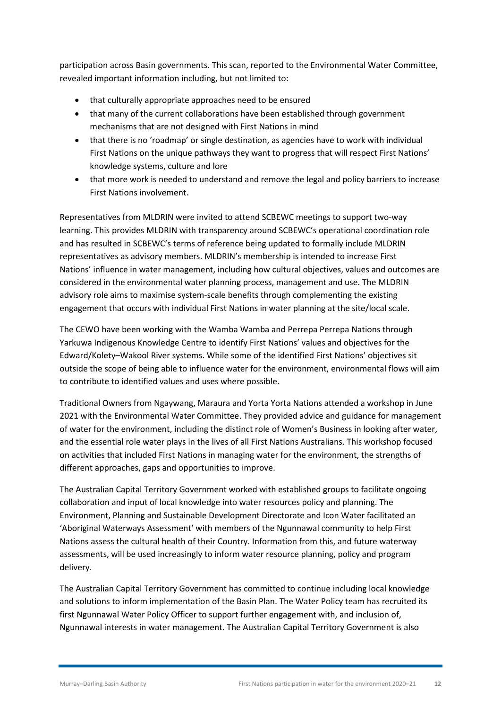participation across Basin governments. This scan, reported to the Environmental Water Committee, revealed important information including, but not limited to:

- that culturally appropriate approaches need to be ensured
- that many of the current collaborations have been established through government mechanisms that are not designed with First Nations in mind
- that there is no 'roadmap' or single destination, as agencies have to work with individual First Nations on the unique pathways they want to progress that will respect First Nations' knowledge systems, culture and lore
- that more work is needed to understand and remove the legal and policy barriers to increase First Nations involvement.

Representatives from MLDRIN were invited to attend SCBEWC meetings to support two-way learning. This provides MLDRIN with transparency around SCBEWC's operational coordination role and has resulted in SCBEWC's terms of reference being updated to formally include MLDRIN representatives as advisory members. MLDRIN's membership is intended to increase First Nations' influence in water management, including how cultural objectives, values and outcomes are considered in the environmental water planning process, management and use. The MLDRIN advisory role aims to maximise system-scale benefits through complementing the existing engagement that occurs with individual First Nations in water planning at the site/local scale.

The CEWO have been working with the Wamba Wamba and Perrepa Perrepa Nations through Yarkuwa Indigenous Knowledge Centre to identify First Nations' values and objectives for the Edward/Kolety–Wakool River systems. While some of the identified First Nations' objectives sit outside the scope of being able to influence water for the environment, environmental flows will aim to contribute to identified values and uses where possible.

Traditional Owners from Ngaywang, Maraura and Yorta Yorta Nations attended a workshop in June 2021 with the Environmental Water Committee. They provided advice and guidance for management of water for the environment, including the distinct role of Women's Business in looking after water, and the essential role water plays in the lives of all First Nations Australians. This workshop focused on activities that included First Nations in managing water for the environment, the strengths of different approaches, gaps and opportunities to improve.

The Australian Capital Territory Government worked with established groups to facilitate ongoing collaboration and input of local knowledge into water resources policy and planning. The Environment, Planning and Sustainable Development Directorate and Icon Water facilitated an 'Aboriginal Waterways Assessment' with members of the Ngunnawal community to help First Nations assess the cultural health of their Country. Information from this, and future waterway assessments, will be used increasingly to inform water resource planning, policy and program delivery.

The Australian Capital Territory Government has committed to continue including local knowledge and solutions to inform implementation of the Basin Plan. The Water Policy team has recruited its first Ngunnawal Water Policy Officer to support further engagement with, and inclusion of, Ngunnawal interests in water management. The Australian Capital Territory Government is also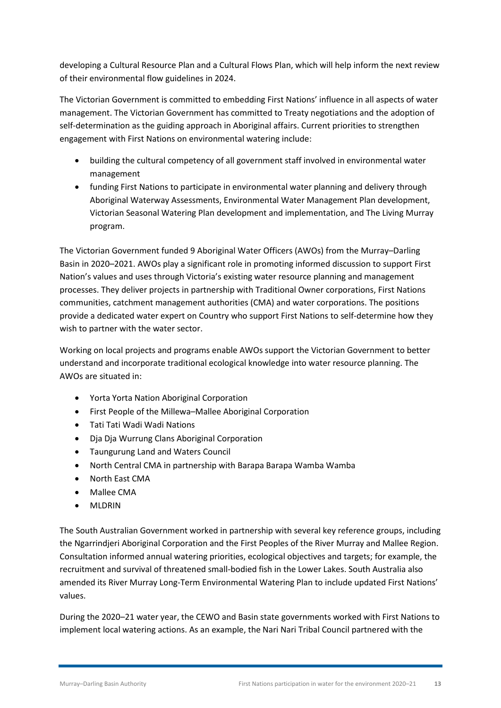developing a Cultural Resource Plan and a Cultural Flows Plan, which will help inform the next review of their environmental flow guidelines in 2024.

The Victorian Government is committed to embedding First Nations' influence in all aspects of water management. The Victorian Government has committed to Treaty negotiations and the adoption of self-determination as the guiding approach in Aboriginal affairs. Current priorities to strengthen engagement with First Nations on environmental watering include:

- building the cultural competency of all government staff involved in environmental water management
- funding First Nations to participate in environmental water planning and delivery through Aboriginal Waterway Assessments, Environmental Water Management Plan development, Victorian Seasonal Watering Plan development and implementation, and The Living Murray program.

The Victorian Government funded 9 Aboriginal Water Officers (AWOs) from the Murray–Darling Basin in 2020–2021. AWOs play a significant role in promoting informed discussion to support First Nation's values and uses through Victoria's existing water resource planning and management processes. They deliver projects in partnership with Traditional Owner corporations, First Nations communities, catchment management authorities (CMA) and water corporations. The positions provide a dedicated water expert on Country who support First Nations to self-determine how they wish to partner with the water sector.

Working on local projects and programs enable AWOs support the Victorian Government to better understand and incorporate traditional ecological knowledge into water resource planning. The AWOs are situated in:

- Yorta Yorta Nation Aboriginal Corporation
- First People of the Millewa–Mallee Aboriginal Corporation
- Tati Tati Wadi Wadi Nations
- Dja Dja Wurrung Clans Aboriginal Corporation
- Taungurung Land and Waters Council
- North Central CMA in partnership with Barapa Barapa Wamba Wamba
- North East CMA
- Mallee CMA
- MLDRIN

The South Australian Government worked in partnership with several key reference groups, including the Ngarrindjeri Aboriginal Corporation and the First Peoples of the River Murray and Mallee Region. Consultation informed annual watering priorities, ecological objectives and targets; for example, the recruitment and survival of threatened small-bodied fish in the Lower Lakes. South Australia also amended its River Murray Long-Term Environmental Watering Plan to include updated First Nations' values.

During the 2020–21 water year, the CEWO and Basin state governments worked with First Nations to implement local watering actions. As an example, the Nari Nari Tribal Council partnered with the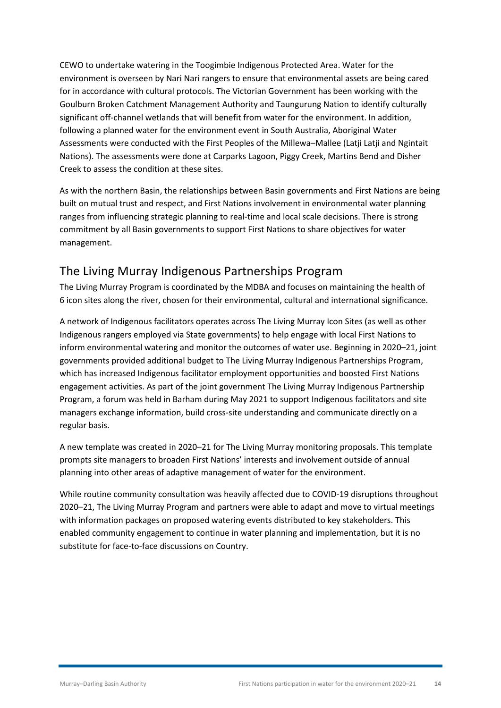CEWO to undertake watering in the Toogimbie Indigenous Protected Area. Water for the environment is overseen by Nari Nari rangers to ensure that environmental assets are being cared for in accordance with cultural protocols. The Victorian Government has been working with the Goulburn Broken Catchment Management Authority and Taungurung Nation to identify culturally significant off-channel wetlands that will benefit from water for the environment. In addition, following a planned water for the environment event in South Australia, Aboriginal Water Assessments were conducted with the First Peoples of the Millewa–Mallee (Latji Latji and Ngintait Nations). The assessments were done at Carparks Lagoon, Piggy Creek, Martins Bend and Disher Creek to assess the condition at these sites.

As with the northern Basin, the relationships between Basin governments and First Nations are being built on mutual trust and respect, and First Nations involvement in environmental water planning ranges from influencing strategic planning to real-time and local scale decisions. There is strong commitment by all Basin governments to support First Nations to share objectives for water management.

#### <span id="page-16-0"></span>The Living Murray Indigenous Partnerships Program

The Living Murray Program is coordinated by the MDBA and focuses on maintaining the health of 6 icon sites along the river, chosen for their environmental, cultural and international significance.

A network of Indigenous facilitators operates across The Living Murray Icon Sites (as well as other Indigenous rangers employed via State governments) to help engage with local First Nations to inform environmental watering and monitor the outcomes of water use. Beginning in 2020–21, joint governments provided additional budget to The Living Murray Indigenous Partnerships Program, which has increased Indigenous facilitator employment opportunities and boosted First Nations engagement activities. As part of the joint government The Living Murray Indigenous Partnership Program, a forum was held in Barham during May 2021 to support Indigenous facilitators and site managers exchange information, build cross-site understanding and communicate directly on a regular basis.

A new template was created in 2020–21 for The Living Murray monitoring proposals. This template prompts site managers to broaden First Nations' interests and involvement outside of annual planning into other areas of adaptive management of water for the environment.

While routine community consultation was heavily affected due to COVID-19 disruptions throughout 2020–21, The Living Murray Program and partners were able to adapt and move to virtual meetings with information packages on proposed watering events distributed to key stakeholders. This enabled community engagement to continue in water planning and implementation, but it is no substitute for face-to-face discussions on Country.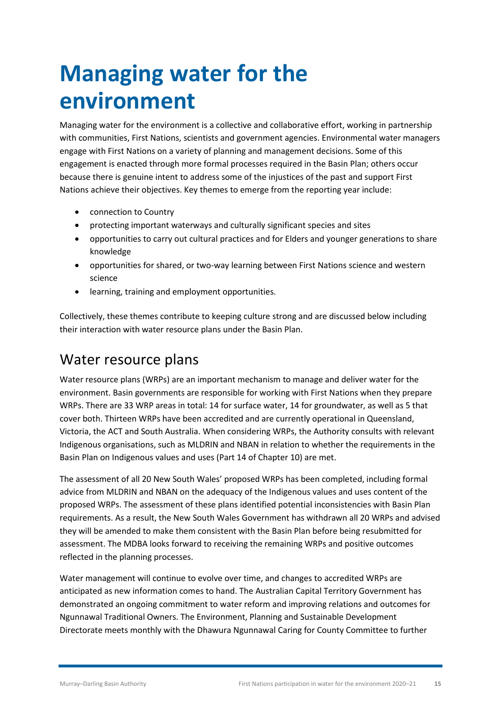## <span id="page-17-0"></span>**Managing water for the environment**

Managing water for the environment is a collective and collaborative effort, working in partnership with communities, First Nations, scientists and government agencies. Environmental water managers engage with First Nations on a variety of planning and management decisions. Some of this engagement is enacted through more formal processes required in the Basin Plan; others occur because there is genuine intent to address some of the injustices of the past and support First Nations achieve their objectives. Key themes to emerge from the reporting year include:

- connection to Country
- protecting important waterways and culturally significant species and sites
- opportunities to carry out cultural practices and for Elders and younger generations to share knowledge
- opportunities for shared, or two-way learning between First Nations science and western science
- learning, training and employment opportunities.

Collectively, these themes contribute to keeping culture strong and are discussed below including their interaction with water resource plans under the Basin Plan.

#### <span id="page-17-1"></span>Water resource plans

Water resource plans (WRPs) are an important mechanism to manage and deliver water for the environment. Basin governments are responsible for working with First Nations when they prepare WRPs. There are 33 WRP areas in total: 14 for surface water, 14 for groundwater, as well as 5 that cover both. Thirteen WRPs have been accredited and are currently operational in Queensland, Victoria, the ACT and South Australia. When considering WRPs, the Authority consults with relevant Indigenous organisations, such as MLDRIN and NBAN in relation to whether the requirements in the Basin Plan on Indigenous values and uses (Part 14 of Chapter 10) are met.

The assessment of all 20 New South Wales' proposed WRPs has been completed, including formal advice from MLDRIN and NBAN on the adequacy of the Indigenous values and uses content of the proposed WRPs. The assessment of these plans identified potential inconsistencies with Basin Plan requirements. As a result, the New South Wales Government has withdrawn all 20 WRPs and advised they will be amended to make them consistent with the Basin Plan before being resubmitted for assessment. The MDBA looks forward to receiving the remaining WRPs and positive outcomes reflected in the planning processes.

Water management will continue to evolve over time, and changes to accredited WRPs are anticipated as new information comes to hand. The Australian Capital Territory Government has demonstrated an ongoing commitment to water reform and improving relations and outcomes for Ngunnawal Traditional Owners. The Environment, Planning and Sustainable Development Directorate meets monthly with the Dhawura Ngunnawal Caring for County Committee to further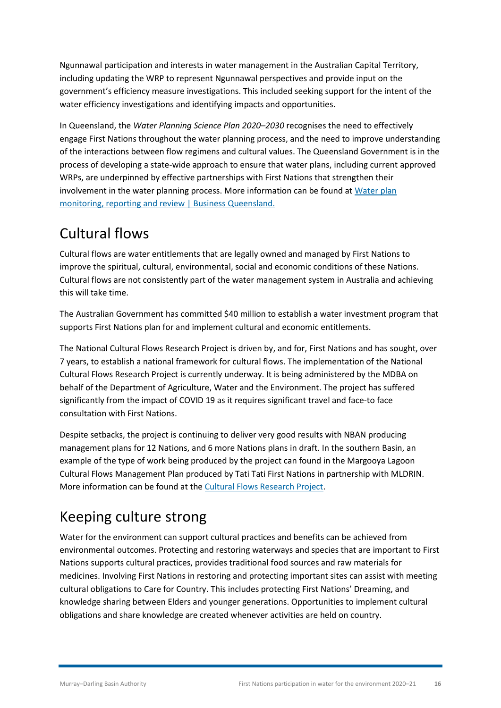Ngunnawal participation and interests in water management in the Australian Capital Territory, including updating the WRP to represent Ngunnawal perspectives and provide input on the government's efficiency measure investigations. This included seeking support for the intent of the water efficiency investigations and identifying impacts and opportunities.

In Queensland, the *Water Planning Science Plan 2020–2030* recognises the need to effectively engage First Nations throughout the water planning process, and the need to improve understanding of the interactions between flow regimens and cultural values. The Queensland Government is in the process of developing a state-wide approach to ensure that water plans, including current approved WRPs, are underpinned by effective partnerships with First Nations that strengthen their involvement in the water planning process. More information can be found a[t Water plan](https://www.business.qld.gov.au/industries/mining-energy-water/water/catchments-planning/planning/monitoring-review)  [monitoring, reporting and review | Business Queensland.](https://www.business.qld.gov.au/industries/mining-energy-water/water/catchments-planning/planning/monitoring-review)

### <span id="page-18-0"></span>Cultural flows

Cultural flows are water entitlements that are legally owned and managed by First Nations to improve the spiritual, cultural, environmental, social and economic conditions of these Nations. Cultural flows are not consistently part of the water management system in Australia and achieving this will take time.

The Australian Government has committed \$40 million to establish a water investment program that supports First Nations plan for and implement cultural and economic entitlements.

The National Cultural Flows Research Project is driven by, and for, First Nations and has sought, over 7 years, to establish a national framework for cultural flows. The implementation of the National Cultural Flows Research Project is currently underway. It is being administered by the MDBA on behalf of the Department of Agriculture, Water and the Environment. The project has suffered significantly from the impact of COVID 19 as it requires significant travel and face-to face consultation with First Nations.

Despite setbacks, the project is continuing to deliver very good results with NBAN producing management plans for 12 Nations, and 6 more Nations plans in draft. In the southern Basin, an example of the type of work being produced by the project can found in the Margooya Lagoon Cultural Flows Management Plan produced by Tati Tati First Nations in partnership with MLDRIN. More information can be found at the [Cultural Flows Research Project.](https://www.culturalflows.com.au/)

### <span id="page-18-1"></span>Keeping culture strong

Water for the environment can support cultural practices and benefits can be achieved from environmental outcomes. Protecting and restoring waterways and species that are important to First Nations supports cultural practices, provides traditional food sources and raw materials for medicines. Involving First Nations in restoring and protecting important sites can assist with meeting cultural obligations to Care for Country. This includes protecting First Nations' Dreaming, and knowledge sharing between Elders and younger generations. Opportunities to implement cultural obligations and share knowledge are created whenever activities are held on country.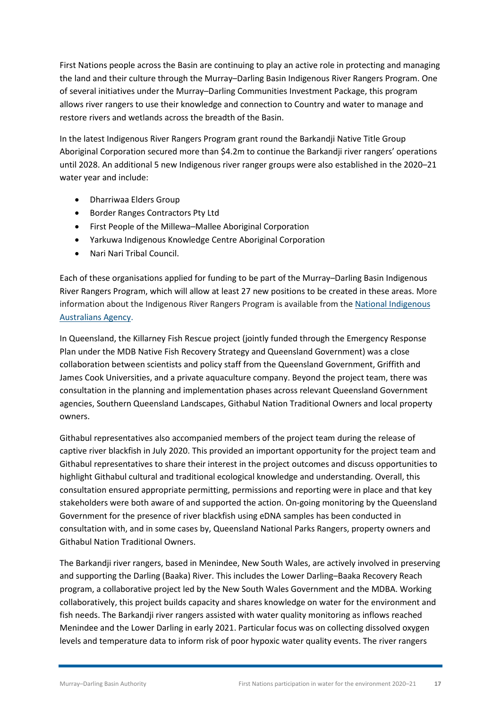First Nations people across the Basin are continuing to play an active role in protecting and managing the land and their culture through the Murray–Darling Basin Indigenous River Rangers Program. One of several initiatives under the Murray–Darling Communities Investment Package, this program allows river rangers to use their knowledge and connection to Country and water to manage and restore rivers and wetlands across the breadth of the Basin.

In the latest Indigenous River Rangers Program grant round the Barkandji Native Title Group Aboriginal Corporation secured more than \$4.2m to continue the Barkandji river rangers' operations until 2028. An additional 5 new Indigenous river ranger groups were also established in the 2020–21 water year and include:

- Dharriwaa Elders Group
- Border Ranges Contractors Pty Ltd
- First People of the Millewa–Mallee Aboriginal Corporation
- Yarkuwa Indigenous Knowledge Centre Aboriginal Corporation
- Nari Nari Tribal Council.

Each of these organisations applied for funding to be part of the Murray–Darling Basin Indigenous River Rangers Program, which will allow at least 27 new positions to be created in these areas. More information about the Indigenous River Rangers Program is available from the National [Indigenous](http://www.niaa.gov.au/indigenous-affairs/environment/indigenous-ranger-program) [Australians](http://www.niaa.gov.au/indigenous-affairs/environment/indigenous-ranger-program) Agency.

In Queensland, the Killarney Fish Rescue project (jointly funded through the Emergency Response Plan under the MDB Native Fish Recovery Strategy and Queensland Government) was a close collaboration between scientists and policy staff from the Queensland Government, Griffith and James Cook Universities, and a private aquaculture company. Beyond the project team, there was consultation in the planning and implementation phases across relevant Queensland Government agencies, Southern Queensland Landscapes, Githabul Nation Traditional Owners and local property owners.

Githabul representatives also accompanied members of the project team during the release of captive river blackfish in July 2020. This provided an important opportunity for the project team and Githabul representatives to share their interest in the project outcomes and discuss opportunities to highlight Githabul cultural and traditional ecological knowledge and understanding. Overall, this consultation ensured appropriate permitting, permissions and reporting were in place and that key stakeholders were both aware of and supported the action. On-going monitoring by the Queensland Government for the presence of river blackfish using eDNA samples has been conducted in consultation with, and in some cases by, Queensland National Parks Rangers, property owners and Githabul Nation Traditional Owners.

The Barkandji river rangers, based in Menindee, New South Wales, are actively involved in preserving and supporting the Darling (Baaka) River. This includes the Lower Darling–Baaka Recovery Reach program, a collaborative project led by the New South Wales Government and the MDBA. Working collaboratively, this project builds capacity and shares knowledge on water for the environment and fish needs. The Barkandji river rangers assisted with water quality monitoring as inflows reached Menindee and the Lower Darling in early 2021. Particular focus was on collecting dissolved oxygen levels and temperature data to inform risk of poor hypoxic water quality events. The river rangers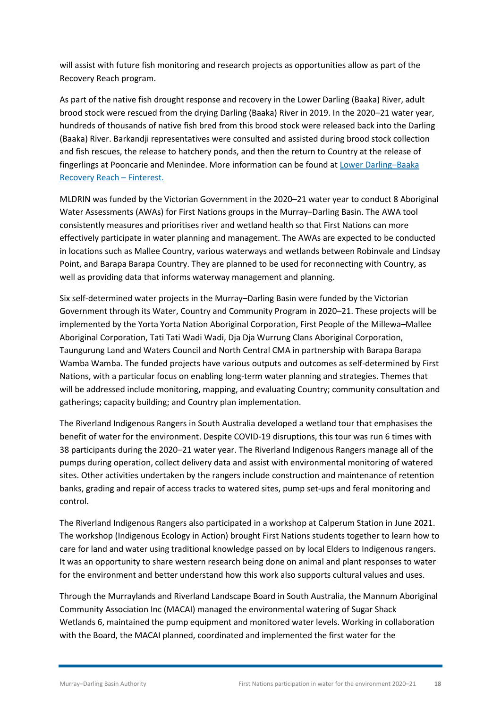will assist with future fish monitoring and research projects as opportunities allow as part of the Recovery Reach program.

As part of the native fish drought response and recovery in the Lower Darling (Baaka) River, adult brood stock were rescued from the drying Darling (Baaka) River in 2019. In the 2020–21 water year, hundreds of thousands of native fish bred from this brood stock were released back into the Darling (Baaka) River. Barkandji representatives were consulted and assisted during brood stock collection and fish rescues, the release to hatchery ponds, and then the return to Country at the release of fingerlings at Pooncarie and Menindee. More information can be found at [Lower Darling–Baaka](https://finterest.com.au/native-fish-recovery-strategy/recovery-reaches/lower-darling-baaka-recovery-reach/)  [Recovery Reach – Finterest.](https://finterest.com.au/native-fish-recovery-strategy/recovery-reaches/lower-darling-baaka-recovery-reach/)

MLDRIN was funded by the Victorian Government in the 2020–21 water year to conduct 8 Aboriginal Water Assessments (AWAs) for First Nations groups in the Murray–Darling Basin. The AWA tool consistently measures and prioritises river and wetland health so that First Nations can more effectively participate in water planning and management. The AWAs are expected to be conducted in locations such as Mallee Country, various waterways and wetlands between Robinvale and Lindsay Point, and Barapa Barapa Country. They are planned to be used for reconnecting with Country, as well as providing data that informs waterway management and planning.

Six self-determined water projects in the Murray–Darling Basin were funded by the Victorian Government through its Water, Country and Community Program in 2020–21. These projects will be implemented by the Yorta Yorta Nation Aboriginal Corporation, First People of the Millewa–Mallee Aboriginal Corporation, Tati Tati Wadi Wadi, Dja Dja Wurrung Clans Aboriginal Corporation, Taungurung Land and Waters Council and North Central CMA in partnership with Barapa Barapa Wamba Wamba. The funded projects have various outputs and outcomes as self-determined by First Nations, with a particular focus on enabling long-term water planning and strategies. Themes that will be addressed include monitoring, mapping, and evaluating Country; community consultation and gatherings; capacity building; and Country plan implementation.

The Riverland Indigenous Rangers in South Australia developed a wetland tour that emphasises the benefit of water for the environment. Despite COVID-19 disruptions, this tour was run 6 times with 38 participants during the 2020–21 water year. The Riverland Indigenous Rangers manage all of the pumps during operation, collect delivery data and assist with environmental monitoring of watered sites. Other activities undertaken by the rangers include construction and maintenance of retention banks, grading and repair of access tracks to watered sites, pump set-ups and feral monitoring and control.

The Riverland Indigenous Rangers also participated in a workshop at Calperum Station in June 2021. The workshop (Indigenous Ecology in Action) brought First Nations students together to learn how to care for land and water using traditional knowledge passed on by local Elders to Indigenous rangers. It was an opportunity to share western research being done on animal and plant responses to water for the environment and better understand how this work also supports cultural values and uses.

Through the Murraylands and Riverland Landscape Board in South Australia, the Mannum Aboriginal Community Association Inc (MACAI) managed the environmental watering of Sugar Shack Wetlands 6, maintained the pump equipment and monitored water levels. Working in collaboration with the Board, the MACAI planned, coordinated and implemented the first water for the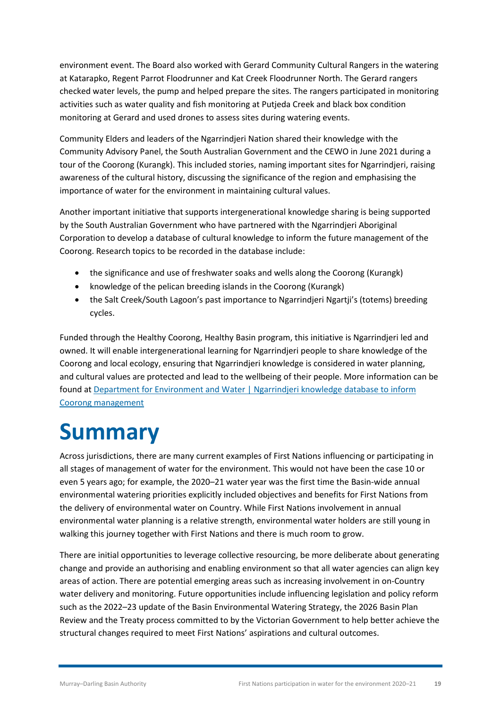environment event. The Board also worked with Gerard Community Cultural Rangers in the watering at Katarapko, Regent Parrot Floodrunner and Kat Creek Floodrunner North. The Gerard rangers checked water levels, the pump and helped prepare the sites. The rangers participated in monitoring activities such as water quality and fish monitoring at Putjeda Creek and black box condition monitoring at Gerard and used drones to assess sites during watering events.

Community Elders and leaders of the Ngarrindjeri Nation shared their knowledge with the Community Advisory Panel, the South Australian Government and the CEWO in June 2021 during a tour of the Coorong (Kurangk). This included stories, naming important sites for Ngarrindjeri, raising awareness of the cultural history, discussing the significance of the region and emphasising the importance of water for the environment in maintaining cultural values.

Another important initiative that supports intergenerational knowledge sharing is being supported by the South Australian Government who have partnered with the Ngarrindjeri Aboriginal Corporation to develop a database of cultural knowledge to inform the future management of the Coorong. Research topics to be recorded in the database include:

- the significance and use of freshwater soaks and wells along the Coorong (Kurangk)
- knowledge of the pelican breeding islands in the Coorong (Kurangk)
- the Salt Creek/South Lagoon's past importance to Ngarrindieri Ngartii's (totems) breeding cycles.

Funded through the Healthy Coorong, Healthy Basin program, this initiative is Ngarrindjeri led and owned. It will enable intergenerational learning for Ngarrindjeri people to share knowledge of the Coorong and local ecology, ensuring that Ngarrindjeri knowledge is considered in water planning, and cultural values are protected and lead to the wellbeing of their people. More information can be found at [Department for Environment and Water | Ngarrindjeri knowledge database to inform](https://www.environment.sa.gov.au/news-hub/news/articles/2021/07/Cultural-knowledge-database)  [Coorong management](https://www.environment.sa.gov.au/news-hub/news/articles/2021/07/Cultural-knowledge-database)

### <span id="page-21-0"></span>**Summary**

Across jurisdictions, there are many current examples of First Nations influencing or participating in all stages of management of water for the environment. This would not have been the case 10 or even 5 years ago; for example, the 2020–21 water year was the first time the Basin-wide annual environmental watering priorities explicitly included objectives and benefits for First Nations from the delivery of environmental water on Country. While First Nations involvement in annual environmental water planning is a relative strength, environmental water holders are still young in walking this journey together with First Nations and there is much room to grow.

There are initial opportunities to leverage collective resourcing, be more deliberate about generating change and provide an authorising and enabling environment so that all water agencies can align key areas of action. There are potential emerging areas such as increasing involvement in on-Country water delivery and monitoring. Future opportunities include influencing legislation and policy reform such as the 2022–23 update of the Basin Environmental Watering Strategy, the 2026 Basin Plan Review and the Treaty process committed to by the Victorian Government to help better achieve the structural changes required to meet First Nations' aspirations and cultural outcomes.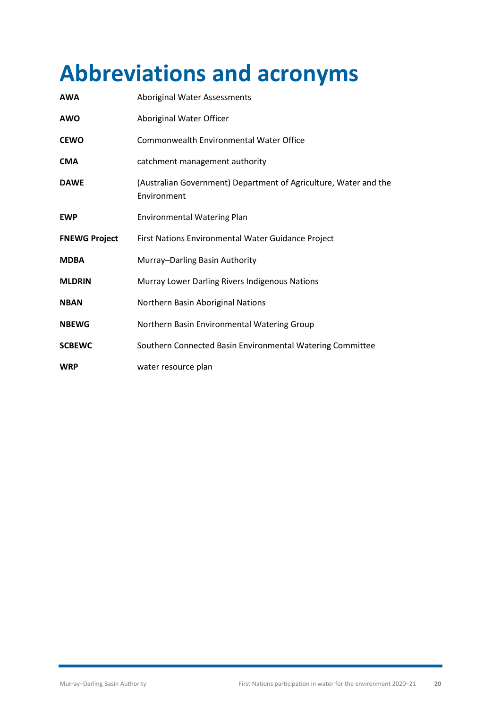## <span id="page-22-0"></span>**Abbreviations and acronyms**

| AWA                  | <b>Aboriginal Water Assessments</b>                                             |
|----------------------|---------------------------------------------------------------------------------|
| AWO                  | Aboriginal Water Officer                                                        |
| <b>CEWO</b>          | Commonwealth Environmental Water Office                                         |
| CMA                  | catchment management authority                                                  |
| <b>DAWE</b>          | (Australian Government) Department of Agriculture, Water and the<br>Environment |
| <b>EWP</b>           | <b>Environmental Watering Plan</b>                                              |
| <b>FNEWG Project</b> | First Nations Environmental Water Guidance Project                              |
| <b>MDBA</b>          | Murray-Darling Basin Authority                                                  |
| <b>MLDRIN</b>        | Murray Lower Darling Rivers Indigenous Nations                                  |
| <b>NBAN</b>          | Northern Basin Aboriginal Nations                                               |
| <b>NBEWG</b>         | Northern Basin Environmental Watering Group                                     |
| <b>SCBEWC</b>        | Southern Connected Basin Environmental Watering Committee                       |
| <b>WRP</b>           | water resource plan                                                             |